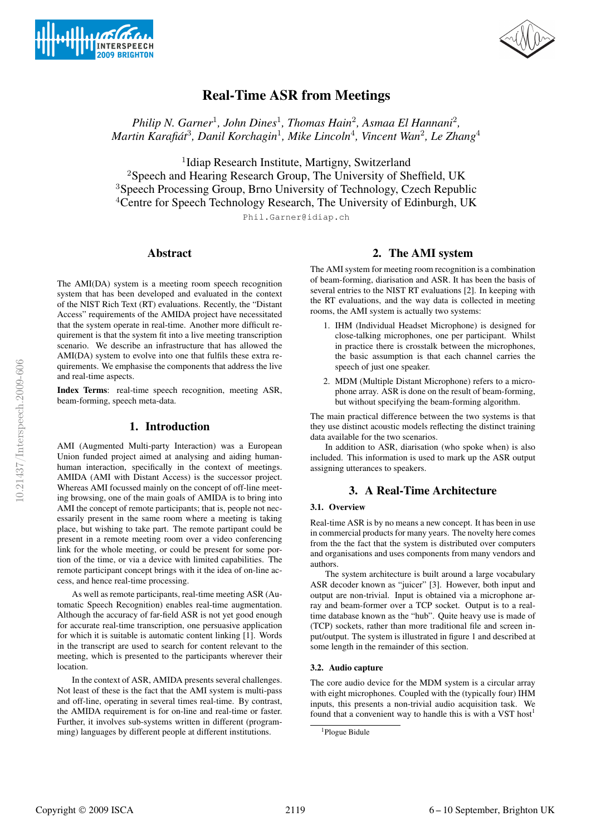



# Real-Time ASR from Meetings

*Philip N. Garner<sup>1</sup>, John Dines<sup>1</sup>, Thomas Hain<sup>2</sup>, Asmaa El Hannani<sup>2</sup>, Martin Karafiat´* <sup>3</sup>*, Danil Korchagin*<sup>1</sup>*, Mike Lincoln*<sup>4</sup>*, Vincent Wan*<sup>2</sup>*, Le Zhang*<sup>4</sup>

<sup>1</sup>Idiap Research Institute, Martigny, Switzerland <sup>2</sup>Speech and Hearing Research Group, The University of Sheffield, UK <sup>3</sup>Speech Processing Group, Brno University of Technology, Czech Republic <sup>4</sup>Centre for Speech Technology Research, The University of Edinburgh, UK

Phil.Garner@idiap.ch

#### Abstract

The AMI(DA) system is a meeting room speech recognition system that has been developed and evaluated in the context of the NIST Rich Text (RT) evaluations. Recently, the "Distant Access" requirements of the AMIDA project have necessitated that the system operate in real-time. Another more difficult requirement is that the system fit into a live meeting transcription scenario. We describe an infrastructure that has allowed the AMI(DA) system to evolve into one that fulfils these extra requirements. We emphasise the components that address the live and real-time aspects.

Index Terms: real-time speech recognition, meeting ASR, beam-forming, speech meta-data.

### 1. Introduction

AMI (Augmented Multi-party Interaction) was a European Union funded project aimed at analysing and aiding humanhuman interaction, specifically in the context of meetings. AMIDA (AMI with Distant Access) is the successor project. Whereas AMI focussed mainly on the concept of off-line meeting browsing, one of the main goals of AMIDA is to bring into AMI the concept of remote participants; that is, people not necessarily present in the same room where a meeting is taking place, but wishing to take part. The remote partipant could be present in a remote meeting room over a video conferencing link for the whole meeting, or could be present for some portion of the time, or via a device with limited capabilities. The remote participant concept brings with it the idea of on-line access, and hence real-time processing.

As well as remote participants, real-time meeting ASR (Automatic Speech Recognition) enables real-time augmentation. Although the accuracy of far-field ASR is not yet good enough for accurate real-time transcription, one persuasive application for which it is suitable is automatic content linking [1]. Words in the transcript are used to search for content relevant to the meeting, which is presented to the participants wherever their location.

In the context of ASR, AMIDA presents several challenges. Not least of these is the fact that the AMI system is multi-pass and off-line, operating in several times real-time. By contrast, the AMIDA requirement is for on-line and real-time or faster. Further, it involves sub-systems written in different (programming) languages by different people at different institutions.

### 2. The AMI system

The AMI system for meeting room recognition is a combination of beam-forming, diarisation and ASR. It has been the basis of several entries to the NIST RT evaluations [2]. In keeping with the RT evaluations, and the way data is collected in meeting rooms, the AMI system is actually two systems:

- 1. IHM (Individual Headset Microphone) is designed for close-talking microphones, one per participant. Whilst in practice there is crosstalk between the microphones, the basic assumption is that each channel carries the speech of just one speaker.
- 2. MDM (Multiple Distant Microphone) refers to a microphone array. ASR is done on the result of beam-forming, but without specifying the beam-forming algorithm.

The main practical difference between the two systems is that they use distinct acoustic models reflecting the distinct training data available for the two scenarios.

In addition to ASR, diarisation (who spoke when) is also included. This information is used to mark up the ASR output assigning utterances to speakers.

### 3. A Real-Time Architecture

### 3.1. Overview

Real-time ASR is by no means a new concept. It has been in use in commercial products for many years. The novelty here comes from the the fact that the system is distributed over computers and organisations and uses components from many vendors and authors.

The system architecture is built around a large vocabulary ASR decoder known as "juicer" [3]. However, both input and output are non-trivial. Input is obtained via a microphone array and beam-former over a TCP socket. Output is to a realtime database known as the "hub". Quite heavy use is made of (TCP) sockets, rather than more traditional file and screen input/output. The system is illustrated in figure 1 and described at some length in the remainder of this section.

#### 3.2. Audio capture

The core audio device for the MDM system is a circular array with eight microphones. Coupled with the (typically four) IHM inputs, this presents a non-trivial audio acquisition task. We found that a convenient way to handle this is with a VST host<sup>1</sup>

<sup>1</sup>Plogue Bidule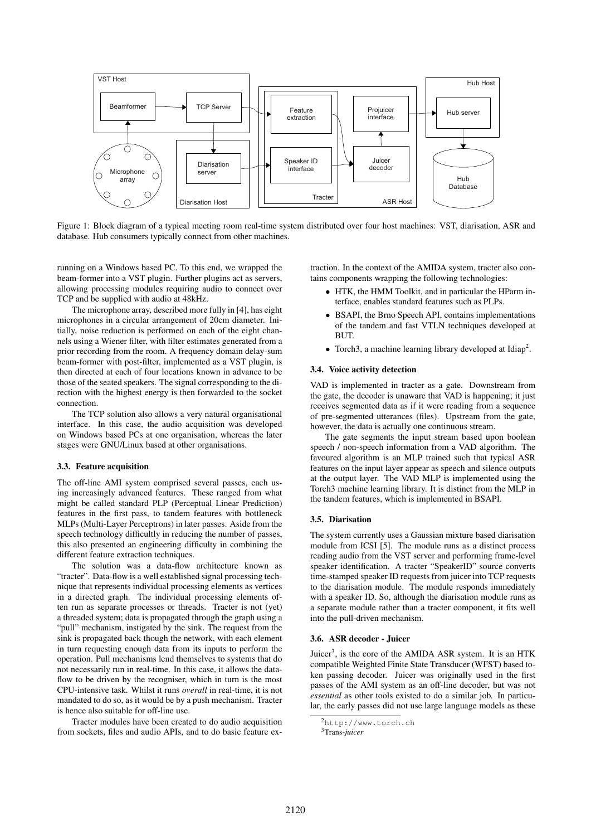

Figure 1: Block diagram of a typical meeting room real-time system distributed over four host machines: VST, diarisation, ASR and database. Hub consumers typically connect from other machines.

running on a Windows based PC. To this end, we wrapped the beam-former into a VST plugin. Further plugins act as servers, allowing processing modules requiring audio to connect over TCP and be supplied with audio at 48kHz.

The microphone array, described more fully in [4], has eight microphones in a circular arrangement of 20cm diameter. Initially, noise reduction is performed on each of the eight channels using a Wiener filter, with filter estimates generated from a prior recording from the room. A frequency domain delay-sum beam-former with post-filter, implemented as a VST plugin, is then directed at each of four locations known in advance to be those of the seated speakers. The signal corresponding to the direction with the highest energy is then forwarded to the socket connection.

The TCP solution also allows a very natural organisational interface. In this case, the audio acquisition was developed on Windows based PCs at one organisation, whereas the later stages were GNU/Linux based at other organisations.

#### 3.3. Feature acquisition

The off-line AMI system comprised several passes, each using increasingly advanced features. These ranged from what might be called standard PLP (Perceptual Linear Prediction) features in the first pass, to tandem features with bottleneck MLPs (Multi-Layer Perceptrons) in later passes. Aside from the speech technology difficultly in reducing the number of passes, this also presented an engineering difficulty in combining the different feature extraction techniques.

The solution was a data-flow architecture known as "tracter". Data-flow is a well established signal processing technique that represents individual processing elements as vertices in a directed graph. The individual processing elements often run as separate processes or threads. Tracter is not (yet) a threaded system; data is propagated through the graph using a "pull" mechanism, instigated by the sink. The request from the sink is propagated back though the network, with each element in turn requesting enough data from its inputs to perform the operation. Pull mechanisms lend themselves to systems that do not necessarily run in real-time. In this case, it allows the dataflow to be driven by the recogniser, which in turn is the most CPU-intensive task. Whilst it runs *overall* in real-time, it is not mandated to do so, as it would be by a push mechanism. Tracter is hence also suitable for off-line use.

Tracter modules have been created to do audio acquisition from sockets, files and audio APIs, and to do basic feature extraction. In the context of the AMIDA system, tracter also contains components wrapping the following technologies:

- HTK, the HMM Toolkit, and in particular the HParm interface, enables standard features such as PLPs.
- BSAPI, the Brno Speech API, contains implementations of the tandem and fast VTLN techniques developed at BUT.
- Torch3, a machine learning library developed at  $Idiap<sup>2</sup>$ .

#### 3.4. Voice activity detection

VAD is implemented in tracter as a gate. Downstream from the gate, the decoder is unaware that VAD is happening; it just receives segmented data as if it were reading from a sequence of pre-segmented utterances (files). Upstream from the gate, however, the data is actually one continuous stream.

The gate segments the input stream based upon boolean speech / non-speech information from a VAD algorithm. The favoured algorithm is an MLP trained such that typical ASR features on the input layer appear as speech and silence outputs at the output layer. The VAD MLP is implemented using the Torch3 machine learning library. It is distinct from the MLP in the tandem features, which is implemented in BSAPI.

#### 3.5. Diarisation

The system currently uses a Gaussian mixture based diarisation module from ICSI [5]. The module runs as a distinct process reading audio from the VST server and performing frame-level speaker identification. A tracter "SpeakerID" source converts time-stamped speaker ID requests from juicer into TCP requests to the diarisation module. The module responds immediately with a speaker ID. So, although the diarisation module runs as a separate module rather than a tracter component, it fits well into the pull-driven mechanism.

#### 3.6. ASR decoder - Juicer

Juicer<sup>3</sup>, is the core of the AMIDA ASR system. It is an HTK compatible Weighted Finite State Transducer (WFST) based token passing decoder. Juicer was originally used in the first passes of the AMI system as an off-line decoder, but was not *essential* as other tools existed to do a similar job. In particular, the early passes did not use large language models as these

3Trans-*juicer*

<sup>2</sup>http://www.torch.ch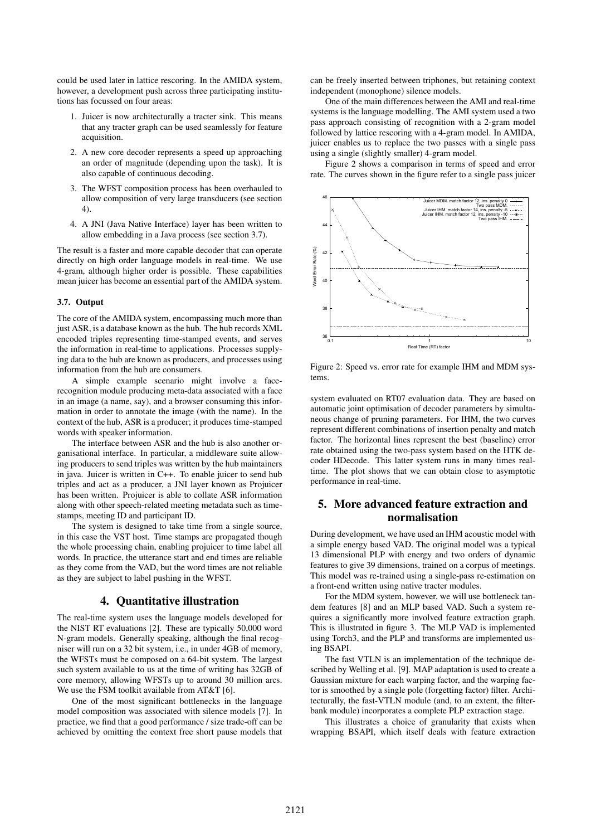could be used later in lattice rescoring. In the AMIDA system, however, a development push across three participating institutions has focussed on four areas:

- 1. Juicer is now architecturally a tracter sink. This means that any tracter graph can be used seamlessly for feature acquisition.
- 2. A new core decoder represents a speed up approaching an order of magnitude (depending upon the task). It is also capable of continuous decoding.
- 3. The WFST composition process has been overhauled to allow composition of very large transducers (see section 4).
- 4. A JNI (Java Native Interface) layer has been written to allow embedding in a Java process (see section 3.7).

The result is a faster and more capable decoder that can operate directly on high order language models in real-time. We use 4-gram, although higher order is possible. These capabilities mean juicer has become an essential part of the AMIDA system.

#### 3.7. Output

The core of the AMIDA system, encompassing much more than just ASR, is a database known as the hub. The hub records XML encoded triples representing time-stamped events, and serves the information in real-time to applications. Processes supplying data to the hub are known as producers, and processes using information from the hub are consumers.

A simple example scenario might involve a facerecognition module producing meta-data associated with a face in an image (a name, say), and a browser consuming this information in order to annotate the image (with the name). In the context of the hub, ASR is a producer; it produces time-stamped words with speaker information.

The interface between ASR and the hub is also another organisational interface. In particular, a middleware suite allowing producers to send triples was written by the hub maintainers in java. Juicer is written in C++. To enable juicer to send hub triples and act as a producer, a JNI layer known as Projuicer has been written. Projuicer is able to collate ASR information along with other speech-related meeting metadata such as timestamps, meeting ID and participant ID.

The system is designed to take time from a single source, in this case the VST host. Time stamps are propagated though the whole processing chain, enabling projuicer to time label all words. In practice, the utterance start and end times are reliable as they come from the VAD, but the word times are not reliable as they are subject to label pushing in the WFST.

### 4. Quantitative illustration

The real-time system uses the language models developed for the NIST RT evaluations [2]. These are typically 50,000 word N-gram models. Generally speaking, although the final recogniser will run on a 32 bit system, i.e., in under 4GB of memory, the WFSTs must be composed on a 64-bit system. The largest such system available to us at the time of writing has 32GB of core memory, allowing WFSTs up to around 30 million arcs. We use the FSM toolkit available from AT&T [6].

One of the most significant bottlenecks in the language model composition was associated with silence models [7]. In practice, we find that a good performance / size trade-off can be achieved by omitting the context free short pause models that can be freely inserted between triphones, but retaining context independent (monophone) silence models.

One of the main differences between the AMI and real-time systems is the language modelling. The AMI system used a two pass approach consisting of recognition with a 2-gram model followed by lattice rescoring with a 4-gram model. In AMIDA, juicer enables us to replace the two passes with a single pass using a single (slightly smaller) 4-gram model.

Figure 2 shows a comparison in terms of speed and error rate. The curves shown in the figure refer to a single pass juicer



Figure 2: Speed vs. error rate for example IHM and MDM systems.

system evaluated on RT07 evaluation data. They are based on automatic joint optimisation of decoder parameters by simultaneous change of pruning parameters. For IHM, the two curves represent different combinations of insertion penalty and match factor. The horizontal lines represent the best (baseline) error rate obtained using the two-pass system based on the HTK decoder HDecode. This latter system runs in many times realtime. The plot shows that we can obtain close to asymptotic performance in real-time.

## 5. More advanced feature extraction and normalisation

During development, we have used an IHM acoustic model with a simple energy based VAD. The original model was a typical 13 dimensional PLP with energy and two orders of dynamic features to give 39 dimensions, trained on a corpus of meetings. This model was re-trained using a single-pass re-estimation on a front-end written using native tracter modules.

For the MDM system, however, we will use bottleneck tandem features [8] and an MLP based VAD. Such a system requires a significantly more involved feature extraction graph. This is illustrated in figure 3. The MLP VAD is implemented using Torch3, and the PLP and transforms are implemented using BSAPI.

The fast VTLN is an implementation of the technique described by Welling et al. [9]. MAP adaptation is used to create a Gaussian mixture for each warping factor, and the warping factor is smoothed by a single pole (forgetting factor) filter. Architecturally, the fast-VTLN module (and, to an extent, the filterbank module) incorporates a complete PLP extraction stage.

This illustrates a choice of granularity that exists when wrapping BSAPI, which itself deals with feature extraction